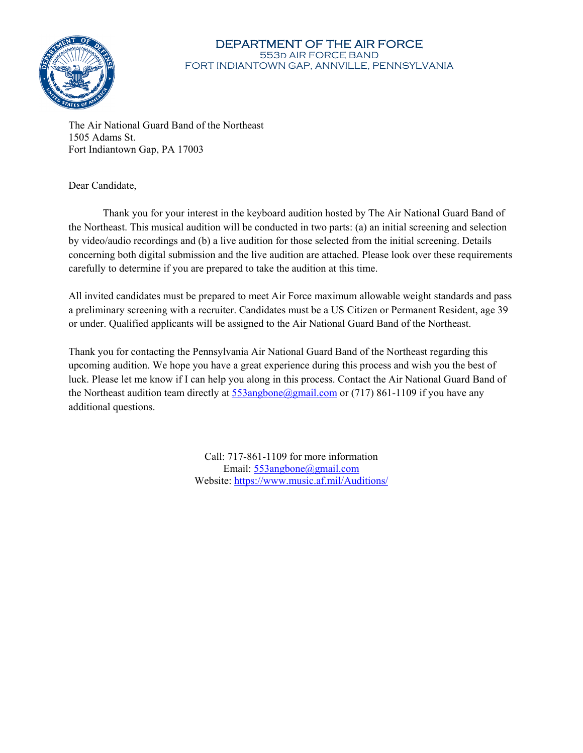

#### DEPARTMENT OF THE AIR FORCE 553d AIR FORCE BAND FORT INDIANTOWN GAP, ANNVILLE, PENNSYLVANIA

The Air National Guard Band of the Northeast 1505 Adams St. Fort Indiantown Gap, PA 17003

Dear Candidate,

Thank you for your interest in the keyboard audition hosted by The Air National Guard Band of the Northeast. This musical audition will be conducted in two parts: (a) an initial screening and selection by video/audio recordings and (b) a live audition for those selected from the initial screening. Details concerning both digital submission and the live audition are attached. Please look over these requirements carefully to determine if you are prepared to take the audition at this time.

All invited candidates must be prepared to meet Air Force maximum allowable weight standards and pass a preliminary screening with a recruiter. Candidates must be a US Citizen or Permanent Resident, age 39 or under. Qualified applicants will be assigned to the Air National Guard Band of the Northeast.

Thank you for contacting the Pennsylvania Air National Guard Band of the Northeast regarding this upcoming audition. We hope you have a great experience during this process and wish you the best of luck. Please let me know if I can help you along in this process. Contact the Air National Guard Band of the Northeast audition team directly at  $553$ angbone@gmail.com or (717) 861-1109 if you have any additional questions.

> Call: 717-861-1109 for more information Email: 553angbone@gmail.com Website: https://www.music.af.mil/Auditions/